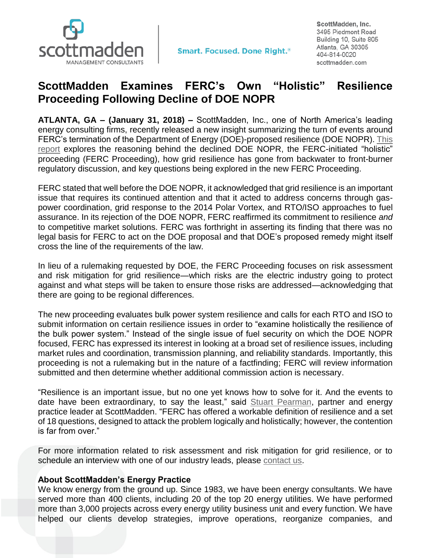

ScottMadden, Inc. 3495 Piedmont Road Building 10, Suite 805 Atlanta, GA 30305 404-814-0020 scottmadden.com

## **ScottMadden Examines FERC's Own "Holistic" Resilience Proceeding Following Decline of DOE NOPR**

**ATLANTA, GA – (January 31, 2018) –** ScottMadden, Inc., one of North America's leading energy consulting firms, recently released a new insight summarizing the turn of events around FERC's termination of the Department of Energy (DOE)-proposed resilience (DOE NOPR). [This](https://www.scottmadden.com/insight/ferc-ends-department-energys-proposed-resilience-rule-initiates-resilience-proceeding/)  [report](https://www.scottmadden.com/insight/ferc-ends-department-energys-proposed-resilience-rule-initiates-resilience-proceeding/) explores the reasoning behind the declined DOE NOPR, the FERC-initiated "holistic" proceeding (FERC Proceeding), how grid resilience has gone from backwater to front-burner regulatory discussion, and key questions being explored in the new FERC Proceeding.

FERC stated that well before the DOE NOPR, it acknowledged that grid resilience is an important issue that requires its continued attention and that it acted to address concerns through gaspower coordination, grid response to the 2014 Polar Vortex, and RTO/ISO approaches to fuel assurance. In its rejection of the DOE NOPR, FERC reaffirmed its commitment to resilience *and* to competitive market solutions. FERC was forthright in asserting its finding that there was no legal basis for FERC to act on the DOE proposal and that DOE's proposed remedy might itself cross the line of the requirements of the law.

In lieu of a rulemaking requested by DOE, the FERC Proceeding focuses on risk assessment and risk mitigation for grid resilience—which risks are the electric industry going to protect against and what steps will be taken to ensure those risks are addressed—acknowledging that there are going to be regional differences.

The new proceeding evaluates bulk power system resilience and calls for each RTO and ISO to submit information on certain resilience issues in order to "examine holistically the resilience of the bulk power system." Instead of the single issue of fuel security on which the DOE NOPR focused, FERC has expressed its interest in looking at a broad set of resilience issues, including market rules and coordination, transmission planning, and reliability standards. Importantly, this proceeding is not a rulemaking but in the nature of a factfinding; FERC will review information submitted and then determine whether additional commission action is necessary.

"Resilience is an important issue, but no one yet knows how to solve for it. And the events to date have been extraordinary, to say the least," said **Stuart Pearman**, partner and energy practice leader at ScottMadden. "FERC has offered a workable definition of resilience and a set of 18 questions, designed to attack the problem logically and holistically; however, the contention is far from over."

For more information related to risk assessment and risk mitigation for grid resilience, or to schedule an interview with one of our industry leads, please [contact us.](https://www.scottmadden.com/contact-us/)

## **About ScottMadden's Energy Practice**

We know energy from the ground up. Since 1983, we have been energy consultants. We have served more than 400 clients, including 20 of the top 20 energy utilities. We have performed more than 3,000 projects across every energy utility business unit and every function. We have helped our clients develop strategies, improve operations, reorganize companies, and